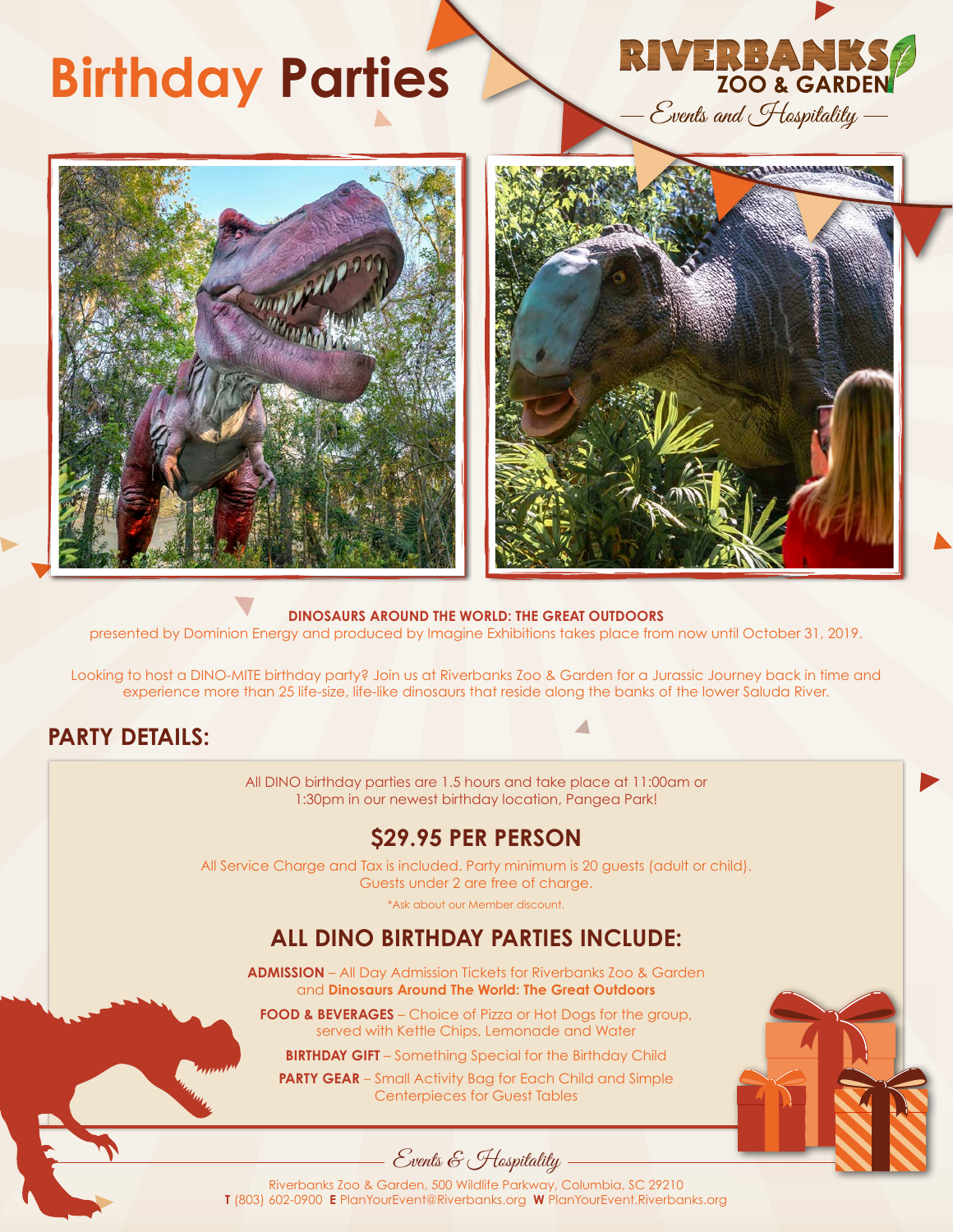## **Birthday Parties**







#### **DINOSAURS AROUND THE WORLD: THE GREAT OUTDOORS**

presented by Dominion Energy and produced by Imagine Exhibitions takes place from now until October 31, 2019.

Looking to host a DINO-MITE birthday party? Join us at Riverbanks Zoo & Garden for a Jurassic Journey back in time and experience more than 25 life-size, life-like dinosaurs that reside along the banks of the lower Saluda River.

## **PARTY DETAILS:**

All DINO birthday parties are 1.5 hours and take place at 11:00am or 1:30pm in our newest birthday location, Pangea Park!

### **\$29.95 PER PERSON**

All Service Charge and Tax is included. Party minimum is 20 guests (adult or child). Guests under 2 are free of charge.

\*Ask about our Member discount.

## **ALL DINO BIRTHDAY PARTIES INCLUDE:**

**ADMISSION** – All Day Admission Tickets for Riverbanks Zoo & Garden and **Dinosaurs Around The World: The Great Outdoors**

**FOOD & BEVERAGES** – Choice of Pizza or Hot Dogs for the group, served with Kettle Chips, Lemonade and Water

**BIRTHDAY GIFT** – Something Special for the Birthday Child

**PARTY GEAR** – Small Activity Bag for Each Child and Simple Centerpieces for Guest Tables





Riverbanks Zoo & Garden, 500 Wildlife Parkway, Columbia, SC 29210 **T** (803) 602-0900 **E** PlanYourEvent@Riverbanks.org **W** PlanYourEvent.Riverbanks.org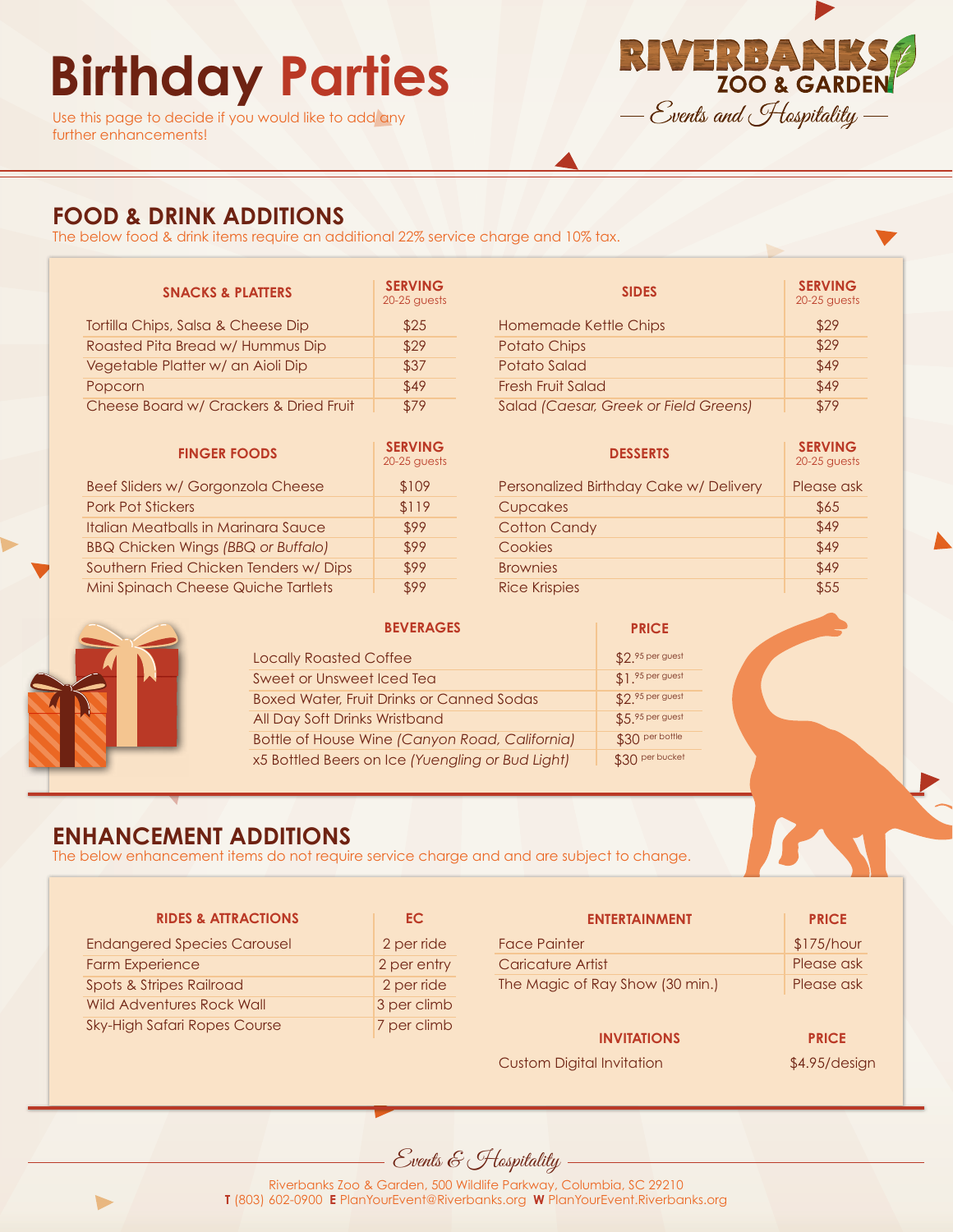# **Birthday Parties**

Use this page to decide if you would like to add any further enhancements!



## **FOOD & DRINK ADDITIONS**

The below food & drink items require an additional 22% service charge and 10% tax.

| <b>SNACKS &amp; PLATTERS</b>           | <b>SERVING</b><br>20-25 quests |
|----------------------------------------|--------------------------------|
| Tortilla Chips, Salsa & Cheese Dip     | \$25                           |
| Roasted Pita Bread w/ Hummus Dip       | \$29                           |
| Vegetable Platter w/ an Aioli Dip      | \$37                           |
| Popcorn                                | \$49                           |
| Cheese Board w/ Crackers & Dried Fruit | \$79                           |

| <b>FINGER FOODS</b>                       | <b>SERVING</b><br>$20-25$ quests |
|-------------------------------------------|----------------------------------|
| Beef Sliders w/ Gorgonzola Cheese         | \$109                            |
| <b>Pork Pot Stickers</b>                  | \$119                            |
| Italian Meatballs in Marinara Sauce       | \$99                             |
| <b>BBQ Chicken Wings (BBQ or Buffalo)</b> | \$99                             |
| Southern Fried Chicken Tenders w/Dips     | \$99                             |
| Mini Spinach Cheese Quiche Tartlets       | \$99                             |

| <b>SIDES</b>                          | <b>SERVING</b><br>20-25 quests |
|---------------------------------------|--------------------------------|
| Homemade Kettle Chips                 | \$29                           |
| <b>Potato Chips</b>                   | \$29                           |
| Potato Salad                          | \$49                           |
| Fresh Fruit Salad                     | \$49                           |
| Salad (Caesar, Greek or Field Greens) | \$79                           |

| <b>DESSERTS</b>                        | <b>SERVING</b><br>20-25 quests |
|----------------------------------------|--------------------------------|
| Personalized Birthday Cake w/ Delivery | Please ask                     |
| Cupcakes                               | \$65                           |
| <b>Cotton Candy</b>                    | \$49                           |
| Cookies                                | \$49                           |
| <b>Brownies</b>                        | \$49                           |
| <b>Rice Krispies</b>                   | \$55                           |



| <b>BEVERAGES</b>                                 | <b>PRICE</b>      |
|--------------------------------------------------|-------------------|
| <b>Locally Roasted Coffee</b>                    | \$2.95 per guest  |
| Sweet or Unsweet Iced Tea                        | $$1.95$ per guest |
| <b>Boxed Water, Fruit Drinks or Canned Sodas</b> | \$2.95 per guest  |
| All Day Soft Drinks Wristband                    | $$5.95$ per guest |
| Bottle of House Wine (Canyon Road, California)   | \$30 per bottle   |
| x5 Bottled Beers on Ice (Yuengling or Bud Light) | \$30 per bucket   |

## **ENHANCEMENT ADDITIONS**

The below enhancement items do not require service charge and and are subject to change.

| <b>RIDES &amp; ATTRACTIONS</b>      | EC.         | <b>ENTERTAINMENT</b>             | <b>PRICE</b>  |
|-------------------------------------|-------------|----------------------------------|---------------|
| <b>Endangered Species Carousel</b>  | 2 per ride  | <b>Face Painter</b>              | \$175/hour    |
| <b>Farm Experience</b>              | 2 per entry | Caricature Artist                | Please ask    |
| <b>Spots &amp; Stripes Railroad</b> | 2 per ride  | The Magic of Ray Show (30 min.)  | Please ask    |
| <b>Wild Adventures Rock Wall</b>    | 3 per climb |                                  |               |
| <b>Sky-High Safari Ropes Course</b> | 7 per climb | <b>INVITATIONS</b>               | <b>PRICE</b>  |
|                                     |             | <b>Custom Digital Invitation</b> | \$4.95/design |

Events & Hospitality



Riverbanks Zoo & Garden, 500 Wildlife Parkway, Columbia, SC 29210 **T** (803) 602-0900 **E** PlanYourEvent@Riverbanks.org **W** PlanYourEvent.Riverbanks.org